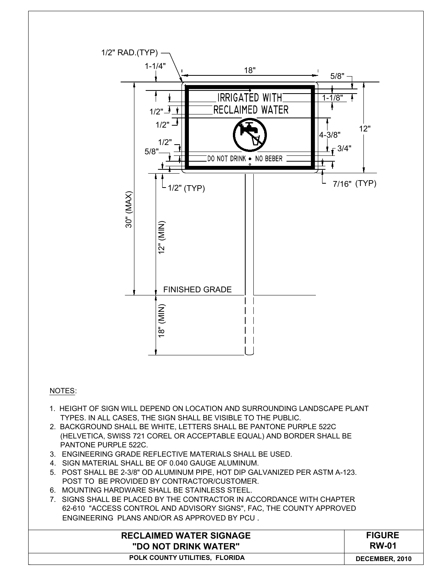

- 1. HEIGHT OF SIGN WILL DEPEND ON LOCATION AND SURROUNDING LANDSCAPE PLANT
- TYPES. IN ALL CASES, THE SIGN SHALL BE VISIBLE TO THE PUBLIC. 2. BACKGROUND SHALL BE WHITE, LETTERS SHALL BE PANTONE PURPLE 522C (HELVETICA, SWISS 721 COREL OR ACCEPTABLE EQUAL) AND BORDER SHALL BE PANTONE PURPLE 522C.
- 3. ENGINEERING GRADE REFLECTIVE MATERIALS SHALL BE USED.
- 4. SIGN MATERIAL SHALL BE OF 0.040 GAUGE ALUMINUM.

NOTES:

- 5. POST SHALL BE 2-3/8" OD ALUMINUM PIPE, HOT DIP GALVANIZED PER ASTM A-123. POST TO BE PROVIDED BY CONTRACTOR/CUSTOMER.
- 6. MOUNTING HARDWARE SHALL BE STAINLESS STEEL.
- 7. SIGNS SHALL BE PLACED BY THE CONTRACTOR IN ACCORDANCE WITH CHAPTER 62-610 "ACCESS CONTROL AND ADVISORY SIGNS", FAC, THE COUNTY APPROVED ENGINEERING PLANS AND/OR AS APPROVED BY PCU .

| ENGINEERING PLANS AND/OR AS APPROVED BY PCU. |                |
|----------------------------------------------|----------------|
| <b>RECLAIMED WATER SIGNAGE</b>               | <b>FIGURE</b>  |
| "DO NOT DRINK WATER"                         | <b>RW-01</b>   |
| <b>POLK COUNTY UTILITIES. FLORIDA</b>        | DECEMBER, 2010 |